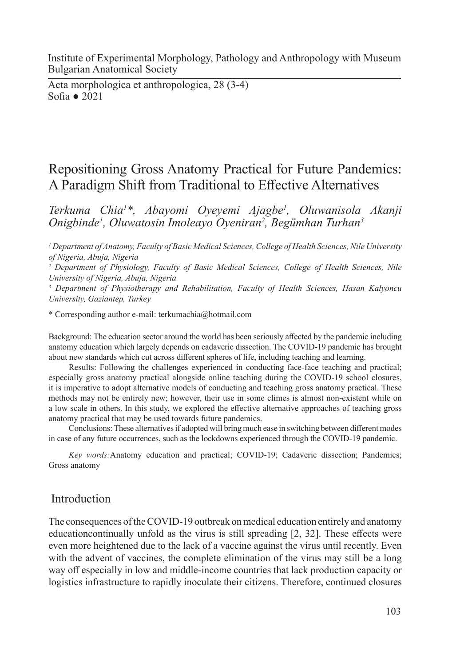Institute of Experimental Morphology, Pathology and Anthropology with Museum Bulgarian Anatomical Society

Acta morphologica et anthropologica, 28 (3-4) Sofia ● 2021

# Repositioning Gross Anatomy Practical for Future Pandemics: A Paradigm Shift from Traditional to Effective Alternatives

*Terkuma Chia1 \*, Abayomi Oyeyemi Ajagbe1 , Oluwanisola Akanji Onigbinde1 , Oluwatosin Imoleayo Oyeniran2 , Begümhan Turhan3*

*1 Department of Anatomy, Faculty of Basic Medical Sciences, College of Health Sciences, Nile University of Nigeria, Abuja, Nigeria*

<sup>2</sup> Department of Physiology, Faculty of Basic Medical Sciences, College of Health Sciences, Nile *University of Nigeria, Abuja, Nigeria*

*3 Department of Physiotherapy and Rehabilitation, Faculty of Health Sciences, Hasan Kalyoncu University, Gaziantep, Turkey*

\* Corresponding author e-mail: terkumachia@hotmail.com

Background: The education sector around the world has been seriously affected by the pandemic including anatomy education which largely depends on cadaveric dissection. The COVID-19 pandemic has brought about new standards which cut across different spheres of life, including teaching and learning.

Results: Following the challenges experienced in conducting face-face teaching and practical; especially gross anatomy practical alongside online teaching during the COVID-19 school closures, it is imperative to adopt alternative models of conducting and teaching gross anatomy practical. These methods may not be entirely new; however, their use in some climes is almost non-existent while on a low scale in others. In this study, we explored the effective alternative approaches of teaching gross anatomy practical that may be used towards future pandemics.

Conclusions: These alternatives if adopted will bring much ease in switching between different modes in case of any future occurrences, such as the lockdowns experienced through the COVID-19 pandemic.

*Key words:*Anatomy education and practical; COVID-19; Cadaveric dissection; Pandemics; Gross anatomy

## Introduction

The consequences of the COVID-19 outbreak on medical education entirely and anatomy educationcontinually unfold as the virus is still spreading [2, 32]. These effects were even more heightened due to the lack of a vaccine against the virus until recently. Even with the advent of vaccines, the complete elimination of the virus may still be a long way off especially in low and middle-income countries that lack production capacity or logistics infrastructure to rapidly inoculate their citizens. Therefore, continued closures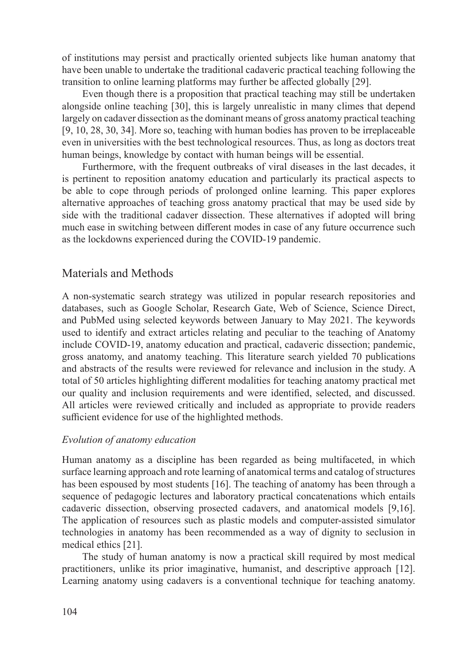of institutions may persist and practically oriented subjects like human anatomy that have been unable to undertake the traditional cadaveric practical teaching following the transition to online learning platforms may further be affected globally [29].

Even though there is a proposition that practical teaching may still be undertaken alongside online teaching [30], this is largely unrealistic in many climes that depend largely on cadaver dissection as the dominant means of gross anatomy practical teaching [9, 10, 28, 30, 34]. More so, teaching with human bodies has proven to be irreplaceable even in universities with the best technological resources. Thus, as long as doctors treat human beings, knowledge by contact with human beings will be essential.

Furthermore, with the frequent outbreaks of viral diseases in the last decades, it is pertinent to reposition anatomy education and particularly its practical aspects to be able to cope through periods of prolonged online learning. This paper explores alternative approaches of teaching gross anatomy practical that may be used side by side with the traditional cadaver dissection. These alternatives if adopted will bring much ease in switching between different modes in case of any future occurrence such as the lockdowns experienced during the COVID-19 pandemic.

# Materials and Methods

A non-systematic search strategy was utilized in popular research repositories and databases, such as Google Scholar, Research Gate, Web of Science, Science Direct, and PubMed using selected keywords between January to May 2021. The keywords used to identify and extract articles relating and peculiar to the teaching of Anatomy include COVID-19, anatomy education and practical, cadaveric dissection; pandemic, gross anatomy, and anatomy teaching. This literature search yielded 70 publications and abstracts of the results were reviewed for relevance and inclusion in the study. A total of 50 articles highlighting different modalities for teaching anatomy practical met our quality and inclusion requirements and were identified, selected, and discussed. All articles were reviewed critically and included as appropriate to provide readers sufficient evidence for use of the highlighted methods.

## *Evolution of anatomy education*

Human anatomy as a discipline has been regarded as being multifaceted, in which surface learning approach and rote learning of anatomical terms and catalog of structures has been espoused by most students [16]. The teaching of anatomy has been through a sequence of pedagogic lectures and laboratory practical concatenations which entails cadaveric dissection, observing prosected cadavers, and anatomical models [9,16]. The application of resources such as plastic models and computer-assisted simulator technologies in anatomy has been recommended as a way of dignity to seclusion in medical ethics [21].

The study of human anatomy is now a practical skill required by most medical practitioners, unlike its prior imaginative, humanist, and descriptive approach [12]. Learning anatomy using cadavers is a conventional technique for teaching anatomy.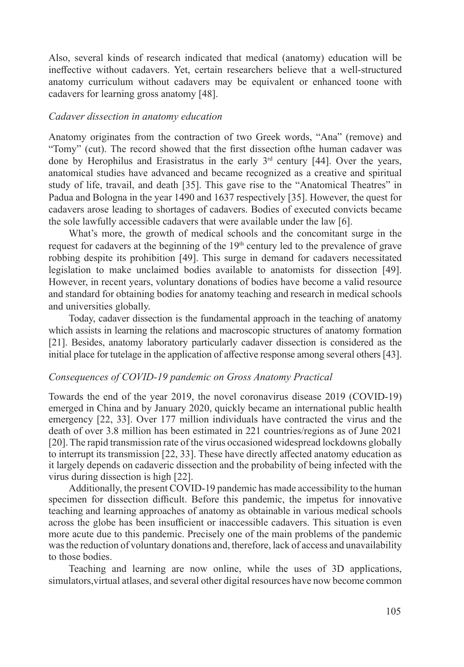Also, several kinds of research indicated that medical (anatomy) education will be ineffective without cadavers. Yet, certain researchers believe that a well-structured anatomy curriculum without cadavers may be equivalent or enhanced toone with cadavers for learning gross anatomy [48].

#### *Cadaver dissection in anatomy education*

Anatomy originates from the contraction of two Greek words, "Ana" (remove) and "Tomy" (cut). The record showed that the first dissection ofthe human cadaver was done by Herophilus and Erasistratus in the early  $3<sup>rd</sup>$  century [44]. Over the years, anatomical studies have advanced and became recognized as a creative and spiritual study of life, travail, and death [35]. This gave rise to the "Anatomical Theatres" in Padua and Bologna in the year 1490 and 1637 respectively [35]. However, the quest for cadavers arose leading to shortages of cadavers. Bodies of executed convicts became the sole lawfully accessible cadavers that were available under the law [6].

What's more, the growth of medical schools and the concomitant surge in the request for cadavers at the beginning of the 19<sup>th</sup> century led to the prevalence of grave robbing despite its prohibition [49]. This surge in demand for cadavers necessitated legislation to make unclaimed bodies available to anatomists for dissection [49]. However, in recent years, voluntary donations of bodies have become a valid resource and standard for obtaining bodies for anatomy teaching and research in medical schools and universities globally.

Today, cadaver dissection is the fundamental approach in the teaching of anatomy which assists in learning the relations and macroscopic structures of anatomy formation [21]. Besides, anatomy laboratory particularly cadaver dissection is considered as the initial place for tutelage in the application of affective response among several others [43].

#### *Consequences of COVID-19 pandemic on Gross Anatomy Practical*

Towards the end of the year 2019, the novel coronavirus disease 2019 (COVID-19) emerged in China and by January 2020, quickly became an international public health emergency [22, 33]. Over 177 million individuals have contracted the virus and the death of over 3.8 million has been estimated in 221 countries/regions as of June 2021 [20]. The rapid transmission rate of the virus occasioned widespread lockdowns globally to interrupt its transmission [22, 33]. These have directly affected anatomy education as it largely depends on cadaveric dissection and the probability of being infected with the virus during dissection is high [22].

Additionally, the present COVID-19 pandemic has made accessibility to the human specimen for dissection difficult. Before this pandemic, the impetus for innovative teaching and learning approaches of anatomy as obtainable in various medical schools across the globe has been insufficient or inaccessible cadavers. This situation is even more acute due to this pandemic. Precisely one of the main problems of the pandemic was the reduction of voluntary donations and, therefore, lack of access and unavailability to those bodies.

Teaching and learning are now online, while the uses of 3D applications, simulators,virtual atlases, and several other digital resources have now become common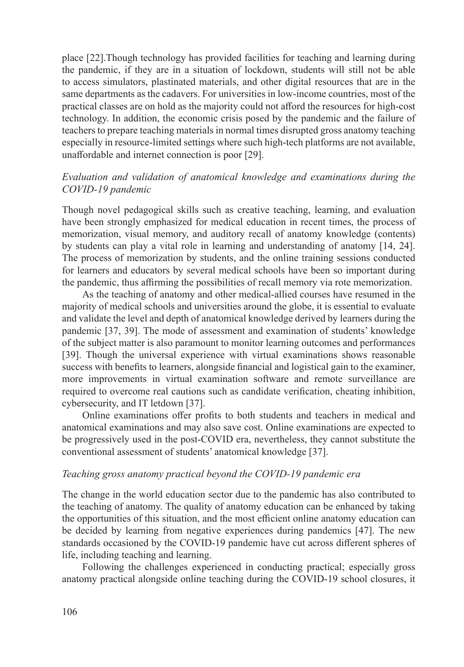place [22].Though technology has provided facilities for teaching and learning during the pandemic, if they are in a situation of lockdown, students will still not be able to access simulators, plastinated materials, and other digital resources that are in the same departments as the cadavers. For universities in low-income countries, most of the practical classes are on hold as the majority could not afford the resources for high-cost technology. In addition, the economic crisis posed by the pandemic and the failure of teachers to prepare teaching materials in normal times disrupted gross anatomy teaching especially in resource-limited settings where such high-tech platforms are not available, unaffordable and internet connection is poor [29].

## *Evaluation and validation of anatomical knowledge and examinations during the COVID-19 pandemic*

Though novel pedagogical skills such as creative teaching, learning, and evaluation have been strongly emphasized for medical education in recent times, the process of memorization, visual memory, and auditory recall of anatomy knowledge (contents) by students can play a vital role in learning and understanding of anatomy [14, 24]. The process of memorization by students, and the online training sessions conducted for learners and educators by several medical schools have been so important during the pandemic, thus affirming the possibilities of recall memory via rote memorization.

As the teaching of anatomy and other medical-allied courses have resumed in the majority of medical schools and universities around the globe, it is essential to evaluate and validate the level and depth of anatomical knowledge derived by learners during the pandemic [37, 39]. The mode of assessment and examination of students' knowledge of the subject matter is also paramount to monitor learning outcomes and performances [39]. Though the universal experience with virtual examinations shows reasonable success with benefits to learners, alongside financial and logistical gain to the examiner, more improvements in virtual examination software and remote surveillance are required to overcome real cautions such as candidate verification, cheating inhibition, cybersecurity, and IT letdown [37].

Online examinations offer profits to both students and teachers in medical and anatomical examinations and may also save cost. Online examinations are expected to be progressively used in the post-COVID era, nevertheless, they cannot substitute the conventional assessment of students' anatomical knowledge [37].

#### *Teaching gross anatomy practical beyond the COVID-19 pandemic era*

The change in the world education sector due to the pandemic has also contributed to the teaching of anatomy. The quality of anatomy education can be enhanced by taking the opportunities of this situation, and the most efficient online anatomy education can be decided by learning from negative experiences during pandemics [47]. The new standards occasioned by the COVID-19 pandemic have cut across different spheres of life, including teaching and learning.

Following the challenges experienced in conducting practical; especially gross anatomy practical alongside online teaching during the COVID-19 school closures, it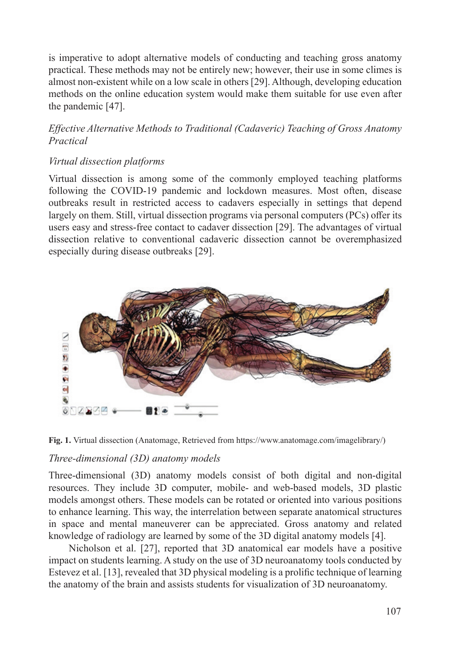is imperative to adopt alternative models of conducting and teaching gross anatomy practical. These methods may not be entirely new; however, their use in some climes is almost non-existent while on a low scale in others [29]. Although, developing education methods on the online education system would make them suitable for use even after the pandemic [47].

## *Effective Alternative Methods to Traditional (Cadaveric) Teaching of Gross Anatomy Practical*

## *Virtual dissection platforms*

Virtual dissection is among some of the commonly employed teaching platforms following the COVID-19 pandemic and lockdown measures. Most often, disease outbreaks result in restricted access to cadavers especially in settings that depend largely on them. Still, virtual dissection programs via personal computers (PCs) offer its users easy and stress-free contact to cadaver dissection [29]. The advantages of virtual dissection relative to conventional cadaveric dissection cannot be overemphasized especially during disease outbreaks [29].



**Fig. 1.** Virtual dissection (Anatomage, Retrieved from https://www.anatomage.com/imagelibrary/)

## *Three-dimensional (3D) anatomy models*

Three-dimensional (3D) anatomy models consist of both digital and non-digital resources. They include 3D computer, mobile- and web-based models, 3D plastic models amongst others. These models can be rotated or oriented into various positions to enhance learning. This way, the interrelation between separate anatomical structures in space and mental maneuverer can be appreciated. Gross anatomy and related knowledge of radiology are learned by some of the 3D digital anatomy models [4].

Nicholson et al. [27], reported that 3D anatomical ear models have a positive impact on students learning. A study on the use of 3D neuroanatomy tools conducted by Estevez et al. [13], revealed that 3D physical modeling is a prolific technique of learning the anatomy of the brain and assists students for visualization of 3D neuroanatomy.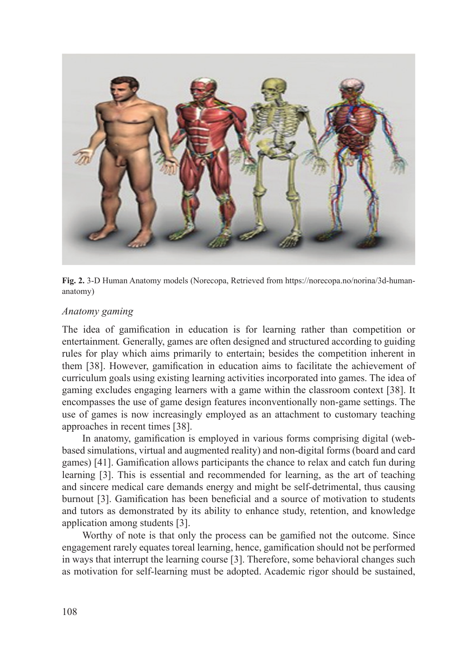

**Fig. 2.** 3-D Human Anatomy models (Norecopa, Retrieved from https://norecopa.no/norina/3d-humananatomy)

#### *Anatomy gaming*

The idea of gamification in education is for learning rather than competition or entertainment*.* Generally, games are often designed and structured according to guiding rules for play which aims primarily to entertain; besides the competition inherent in them [38]. However, gamification in education aims to facilitate the achievement of curriculum goals using existing learning activities incorporated into games. The idea of gaming excludes engaging learners with a game within the classroom context [38]. It encompasses the use of game design features inconventionally non-game settings. The use of games is now increasingly employed as an attachment to customary teaching approaches in recent times [38].

In anatomy, gamification is employed in various forms comprising digital (webbased simulations, virtual and augmented reality) and non-digital forms (board and card games) [41]. Gamification allows participants the chance to relax and catch fun during learning [3]. This is essential and recommended for learning, as the art of teaching and sincere medical care demands energy and might be self-detrimental, thus causing burnout [3]. Gamification has been beneficial and a source of motivation to students and tutors as demonstrated by its ability to enhance study, retention, and knowledge application among students [3].

Worthy of note is that only the process can be gamified not the outcome. Since engagement rarely equates toreal learning, hence, gamification should not be performed in ways that interrupt the learning course [3]. Therefore, some behavioral changes such as motivation for self-learning must be adopted. Academic rigor should be sustained,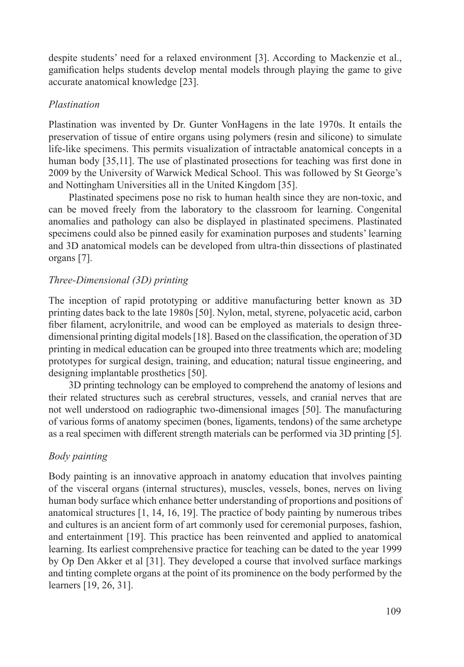despite students' need for a relaxed environment [3]. According to Mackenzie et al., gamification helps students develop mental models through playing the game to give accurate anatomical knowledge [23].

### *Plastination*

Plastination was invented by Dr. Gunter VonHagens in the late 1970s. It entails the preservation of tissue of entire organs using polymers (resin and silicone) to simulate life-like specimens. This permits visualization of intractable anatomical concepts in a human body [35,11]. The use of plastinated prosections for teaching was first done in 2009 by the University of Warwick Medical School. This was followed by St George's and Nottingham Universities all in the United Kingdom [35].

Plastinated specimens pose no risk to human health since they are non-toxic, and can be moved freely from the laboratory to the classroom for learning. Congenital anomalies and pathology can also be displayed in plastinated specimens. Plastinated specimens could also be pinned easily for examination purposes and students' learning and 3D anatomical models can be developed from ultra-thin dissections of plastinated organs [7].

## *Three-Dimensional (3D) printing*

The inception of rapid prototyping or additive manufacturing better known as 3D printing dates back to the late 1980s [50]. Nylon, metal, styrene, polyacetic acid, carbon fiber filament, acrylonitrile, and wood can be employed as materials to design threedimensional printing digital models [18]. Based on the classification, the operation of 3D printing in medical education can be grouped into three treatments which are; modeling prototypes for surgical design, training, and education; natural tissue engineering, and designing implantable prosthetics [50].

3D printing technology can be employed to comprehend the anatomy of lesions and their related structures such as cerebral structures, vessels, and cranial nerves that are not well understood on radiographic two-dimensional images [50]. The manufacturing of various forms of anatomy specimen (bones, ligaments, tendons) of the same archetype as a real specimen with different strength materials can be performed via 3D printing [5].

## *Body painting*

Body painting is an innovative approach in anatomy education that involves painting of the visceral organs (internal structures), muscles, vessels, bones, nerves on living human body surface which enhance better understanding of proportions and positions of anatomical structures [1, 14, 16, 19]. The practice of body painting by numerous tribes and cultures is an ancient form of art commonly used for ceremonial purposes, fashion, and entertainment [19]. This practice has been reinvented and applied to anatomical learning. Its earliest comprehensive practice for teaching can be dated to the year 1999 by Op Den Akker et al [31]. They developed a course that involved surface markings and tinting complete organs at the point of its prominence on the body performed by the learners [19, 26, 31].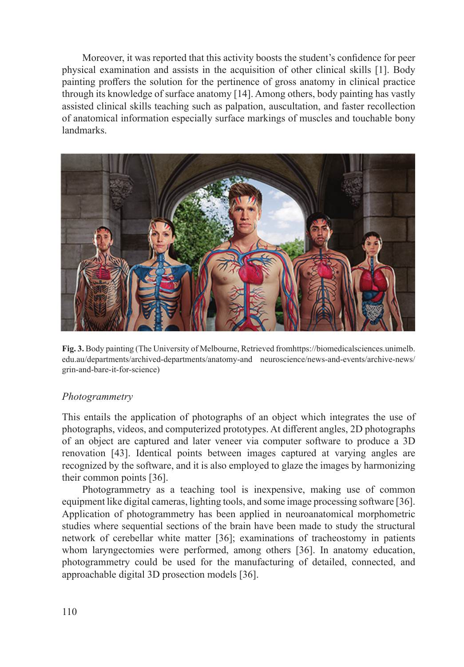Moreover, it was reported that this activity boosts the student's confidence for peer physical examination and assists in the acquisition of other clinical skills [1]. Body painting proffers the solution for the pertinence of gross anatomy in clinical practice through its knowledge of surface anatomy [14]. Among others, body painting has vastly assisted clinical skills teaching such as palpation, auscultation, and faster recollection of anatomical information especially surface markings of muscles and touchable bony landmarks.



**Fig. 3.** Body painting (The University of Melbourne, Retrieved fromhttps://biomedicalsciences.unimelb. edu.au/departments/archived-departments/anatomy-and neuroscience/news-and-events/archive-news/ grin-and-bare-it-for-science)

## *Photogrammetry*

This entails the application of photographs of an object which integrates the use of photographs, videos, and computerized prototypes. At different angles, 2D photographs of an object are captured and later veneer via computer software to produce a 3D renovation [43]. Identical points between images captured at varying angles are recognized by the software, and it is also employed to glaze the images by harmonizing their common points [36].

Photogrammetry as a teaching tool is inexpensive, making use of common equipment like digital cameras, lighting tools, and some image processing software [36]. Application of photogrammetry has been applied in neuroanatomical morphometric studies where sequential sections of the brain have been made to study the structural network of cerebellar white matter [36]; examinations of tracheostomy in patients whom laryngectomies were performed, among others [36]. In anatomy education, photogrammetry could be used for the manufacturing of detailed, connected, and approachable digital 3D prosection models [36].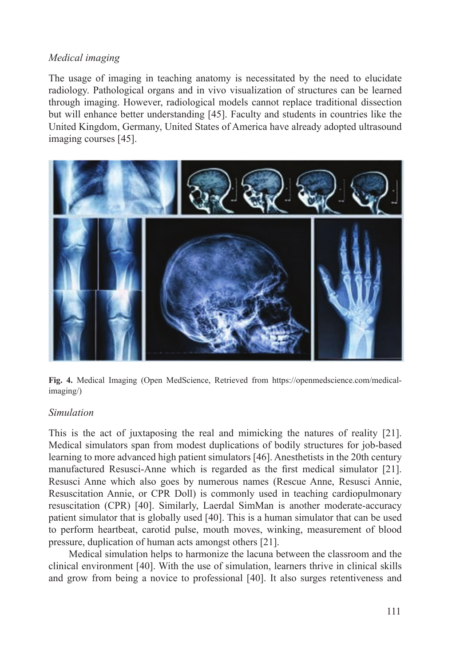## *Medical imaging*

The usage of imaging in teaching anatomy is necessitated by the need to elucidate radiology. Pathological organs and in vivo visualization of structures can be learned through imaging. However, radiological models cannot replace traditional dissection but will enhance better understanding [45]. Faculty and students in countries like the United Kingdom, Germany, United States of America have already adopted ultrasound imaging courses [45].



**Fig. 4.** Medical Imaging (Open MedScience, Retrieved from https://openmedscience.com/medicalimaging/)

#### *Simulation*

This is the act of juxtaposing the real and mimicking the natures of reality [21]. Medical simulators span from modest duplications of bodily structures for job-based learning to more advanced high patient simulators [46]. Anesthetists in the 20th century manufactured Resusci-Anne which is regarded as the first medical simulator [21]. Resusci Anne which also goes by numerous names (Rescue Anne, Resusci Annie, Resuscitation Annie, or CPR Doll) is commonly used in teaching cardiopulmonary resuscitation (CPR) [40]. Similarly, Laerdal SimMan is another moderate-accuracy patient simulator that is globally used [40]. This is a human simulator that can be used to perform heartbeat, carotid pulse, mouth moves, winking, measurement of blood pressure, duplication of human acts amongst others [21].

Medical simulation helps to harmonize the lacuna between the classroom and the clinical environment [40]. With the use of simulation, learners thrive in clinical skills and grow from being a novice to professional [40]. It also surges retentiveness and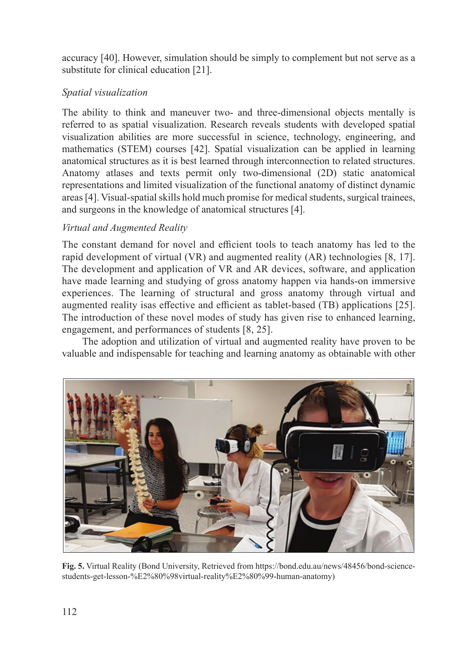accuracy [40]. However, simulation should be simply to complement but not serve as a substitute for clinical education [21].

## *Spatial visualization*

The ability to think and maneuver two- and three-dimensional objects mentally is referred to as spatial visualization. Research reveals students with developed spatial visualization abilities are more successful in science, technology, engineering, and mathematics (STEM) courses [42]. Spatial visualization can be applied in learning anatomical structures as it is best learned through interconnection to related structures. Anatomy atlases and texts permit only two-dimensional (2D) static anatomical representations and limited visualization of the functional anatomy of distinct dynamic areas [4]. Visual-spatial skills hold much promise for medical students, surgical trainees, and surgeons in the knowledge of anatomical structures [4].

## *Virtual and Augmented Reality*

The constant demand for novel and efficient tools to teach anatomy has led to the rapid development of virtual (VR) and augmented reality (AR) technologies [8, 17]. The development and application of VR and AR devices, software, and application have made learning and studying of gross anatomy happen via hands-on immersive experiences. The learning of structural and gross anatomy through virtual and augmented reality isas effective and efficient as tablet-based (TB) applications [25]. The introduction of these novel modes of study has given rise to enhanced learning, engagement, and performances of students [8, 25].

The adoption and utilization of virtual and augmented reality have proven to be valuable and indispensable for teaching and learning anatomy as obtainable with other



**Fig. 5.** Virtual Reality (Bond University, Retrieved from https://bond.edu.au/news/48456/bond-sciencestudents-get-lesson-%E2%80%98virtual-reality%E2%80%99-human-anatomy)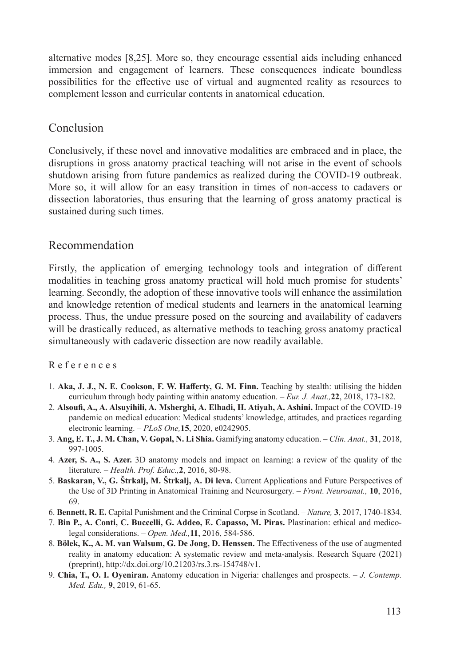alternative modes [8,25]. More so, they encourage essential aids including enhanced immersion and engagement of learners. These consequences indicate boundless possibilities for the effective use of virtual and augmented reality as resources to complement lesson and curricular contents in anatomical education.

## Conclusion

Conclusively, if these novel and innovative modalities are embraced and in place, the disruptions in gross anatomy practical teaching will not arise in the event of schools shutdown arising from future pandemics as realized during the COVID-19 outbreak. More so, it will allow for an easy transition in times of non-access to cadavers or dissection laboratories, thus ensuring that the learning of gross anatomy practical is sustained during such times.

## Recommendation

Firstly, the application of emerging technology tools and integration of different modalities in teaching gross anatomy practical will hold much promise for students' learning. Secondly, the adoption of these innovative tools will enhance the assimilation and knowledge retention of medical students and learners in the anatomical learning process. Thus, the undue pressure posed on the sourcing and availability of cadavers will be drastically reduced, as alternative methods to teaching gross anatomy practical simultaneously with cadaveric dissection are now readily available.

#### R e f e r e n c e s

- 1. **Aka, J. J., N. E. Cookson, F. W. Hafferty, G. M. Finn.** Teaching by stealth: utilising the hidden curriculum through body painting within anatomy education. – *Eur. J. Anat.,***22**, 2018, 173-182.
- 2. **Alsoufi, A., A. Alsuyihili, A. Msherghi, A. Elhadi, H. Atiyah, A. Ashini.** Impact of the COVID-19 pandemic on medical education: Medical students' knowledge, attitudes, and practices regarding electronic learning. – *PLoS One,***15**, 2020, e0242905.
- 3. **Ang, E. T., J. M. Chan, V. Gopal, N. Li Shia.** Gamifying anatomy education. *Clin. Anat.,* **31**, 2018, 997-1005.
- 4. **Azer, S. A., S. Azer.** 3D anatomy models and impact on learning: a review of the quality of the literature. – *Health. Prof. Educ.,***2**, 2016, 80-98.
- 5. **Baskaran, V., G. Štrkalj, M. Štrkalj, A. Di leva.** Current Applications and Future Perspectives of the Use of 3D Printing in Anatomical Training and Neurosurgery. – *Front. Neuroanat.,* **10**, 2016, 69.
- 6. **Bennett, R. E.** Capital Punishment and the Criminal Corpse in Scotland. *Nature,* **3**, 2017, 1740-1834.
- 7. **Bin P., A. Conti, C. Buccelli, G. Addeo, E. Capasso, M. Piras.** Plastination: ethical and medicolegal considerations. – *Open. Med.,***11**, 2016, 584-586.
- 8. **Bölek, K., A. M. van Walsum, G. De Jong, D. Henssen.** The Effectiveness of the use of augmented reality in anatomy education: A systematic review and meta-analysis. Research Square (2021) (preprint), http://dx.doi.org/10.21203/rs.3.rs-154748/v1.
- 9. **Chia, T., O. I. Oyeniran.** Anatomy education in Nigeria: challenges and prospects. *J. Contemp. Med. Edu.,* **9**, 2019, 61-65.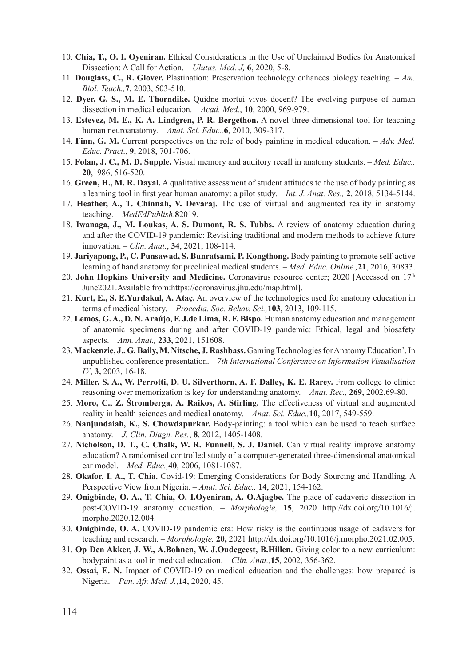- 10. **Chia, T., O. I. Oyeniran.** Ethical Considerations in the Use of Unclaimed Bodies for Anatomical Dissection: A Call for Action. – *Ulutas. Med. J,* **6**, 2020, 5-8.
- 11. **Douglass, C., R. Glover.** Plastination: Preservation technology enhances biology teaching. *Am. Biol. Teach.,***7**, 2003, 503-510.
- 12. **Dyer, G. S., M. E. Thorndike.** Quidne mortui vivos docent? The evolving purpose of human dissection in medical education. – *Acad. Med.*, **10**, 2000, 969-979.
- 13. **Estevez, M. E., K. A. Lindgren, P. R. Bergethon.** A novel three-dimensional tool for teaching human neuroanatomy. – *Anat. Sci. Educ.,***6**, 2010, 309-317.
- 14. **Finn, G. M.** Current perspectives on the role of body painting in medical education. *Adv. Med. Educ. Pract*., **9**, 2018, 701-706.
- 15. **Folan, J. C., M. D. Supple.** Visual memory and auditory recall in anatomy students. *Med. Educ.,*  **20**,1986, 516-520.
- 16. **Green, H., M. R. Dayal.** A qualitative assessment of student attitudes to the use of body painting as a learning tool in first year human anatomy: a pilot study. – *Int. J. Anat. Res.,* **2**, 2018, 5134-5144.
- 17. **Heather, A., T. Chinnah, V. Devaraj.** The use of virtual and augmented reality in anatomy teaching. – *MedEdPublish*.**8**2019.
- 18. **Iwanaga, J., M. Loukas, A. S. Dumont, R. S. Tubbs.** A review of anatomy education during and after the COVID-19 pandemic: Revisiting traditional and modern methods to achieve future innovation. – *Clin. Anat.*, **34**, 2021, 108-114.
- 19. **Jariyapong, P., C. Punsawad, S. Bunratsami, P. Kongthong.** Body painting to promote self-active learning of hand anatomy for preclinical medical students. – *Med. Educ. Online.,***21**, 2016, 30833.
- 20. **John Hopkins University and Medicine.** Coronavirus resource center; 2020 [Accessed on 17<sup>th</sup> June2021.Available from:https://coronavirus.jhu.edu/map.html].
- 21. **Kurt, E., S. E.Yurdakul, A. Ataç.** An overview of the technologies used for anatomy education in terms of medical history. – *Procedia. Soc. Behav. Sci.,***103**, 2013, 109-115.
- 22. **Lemos, G. A., D. N. Araújo, F. J.de Lima, R. F. Bispo.** Human anatomy education and management of anatomic specimens during and after COVID-19 pandemic: Ethical, legal and biosafety aspects. – *Ann. Anat.,* **233**, 2021, 151608.
- 23. **Mackenzie, J., G. Baily, M. Nitsche, J. Rashbass.** Gaming Technologies for Anatomy Education'. In unpublished conference presentation. – *7th International Conference on Information Visualisation IV*, **3,** 2003, 16-18.
- 24. **Miller, S. A., W. Perrotti, D. U. Silverthorn, A. F. Dalley, K. E. Rarey.** From college to clinic: reasoning over memorization is key for understanding anatomy. – *Anat. Rec.,* **269**, 2002,69-80.
- 25. **Moro, C., Z. Štromberga, A. Raikos, A. Stirling.** The effectiveness of virtual and augmented reality in health sciences and medical anatomy. – *Anat. Sci. Educ.,***10**, 2017, 549-559.
- 26. **Nanjundaiah, K., S. Chowdapurkar.** Body-painting: a tool which can be used to teach surface anatomy. – *J. Clin. Diagn. Res.*, **8**, 2012, 1405-1408.
- 27. **Nicholson, D. T., C. Chalk, W. R. Funnell, S. J. Daniel.** Can virtual reality improve anatomy education? A randomised controlled study of a computer-generated three-dimensional anatomical ear model. – *Med. Educ.,***40**, 2006, 1081-1087.
- 28. **Okafor, I. A., T. Chia.** Covid-19: Emerging Considerations for Body Sourcing and Handling. A Perspective View from Nigeria. – *Anat. Sci. Educ.,* **14**, 2021, 154-162.
- 29. **Onigbinde, O. A., T. Chia, O. I.Oyeniran, A. O.Ajagbe.** The place of cadaveric dissection in post-COVID-19 anatomy education. – *Morphologie,* **15**, 2020 http://dx.doi.org/10.1016/j. morpho.2020.12.004.
- 30. **Onigbinde, O. A.** COVID-19 pandemic era: How risky is the continuous usage of cadavers for teaching and research. – *Morphologie,* **20,** 2021 http://dx.doi.org/10.1016/j.morpho.2021.02.005.
- 31. **Op Den Akker, J. W., A.Bohnen, W. J.Oudegeest, B.Hillen.** Giving color to a new curriculum: bodypaint as a tool in medical education. – *Clin. Anat.,***15**, 2002, 356-362.
- 32. **Ossai, E. N.** Impact of COVID-19 on medical education and the challenges: how prepared is Nigeria. – *Pan. Afr. Med. J.*,**14**, 2020, 45.